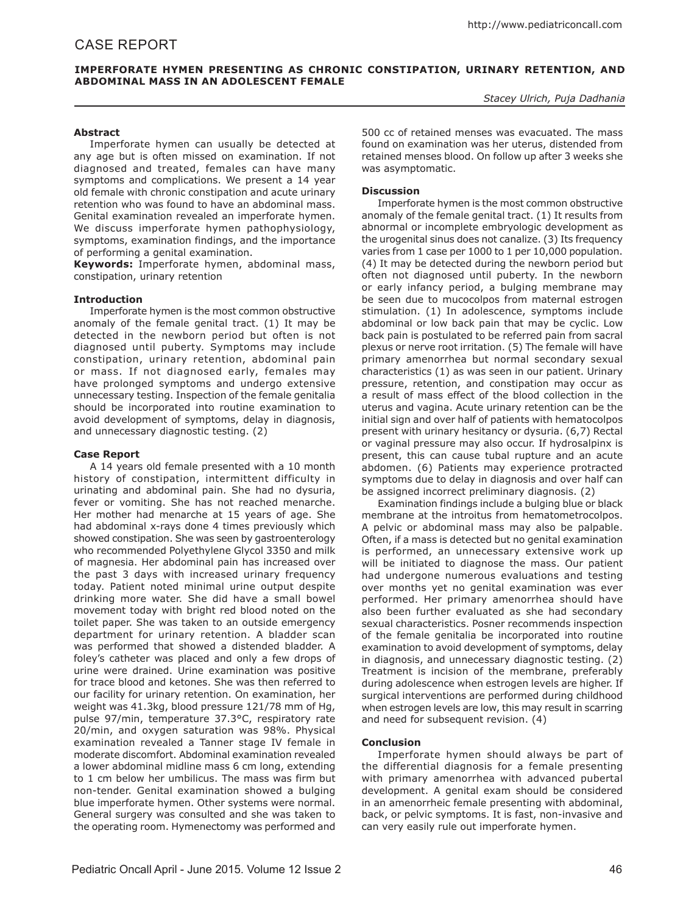# **Imperforate Hymen Presenting as Chronic Constipation, Urinary Retention, and Abdominal Mass in an Adolescent Female**

*Stacey Ulrich, Puja Dadhania*

## **Abstract**

Imperforate hymen can usually be detected at any age but is often missed on examination. If not diagnosed and treated, females can have many symptoms and complications. We present a 14 year old female with chronic constipation and acute urinary retention who was found to have an abdominal mass. Genital examination revealed an imperforate hymen. We discuss imperforate hymen pathophysiology, symptoms, examination findings, and the importance of performing a genital examination.

**Keywords:** Imperforate hymen, abdominal mass, constipation, urinary retention

### **Introduction**

Imperforate hymen is the most common obstructive anomaly of the female genital tract. (1) It may be detected in the newborn period but often is not diagnosed until puberty. Symptoms may include constipation, urinary retention, abdominal pain or mass. If not diagnosed early, females may have prolonged symptoms and undergo extensive unnecessary testing. Inspection of the female genitalia should be incorporated into routine examination to avoid development of symptoms, delay in diagnosis, and unnecessary diagnostic testing. (2)

### **Case Report**

A 14 years old female presented with a 10 month history of constipation, intermittent difficulty in urinating and abdominal pain. She had no dysuria, fever or vomiting. She has not reached menarche. Her mother had menarche at 15 years of age. She had abdominal x-rays done 4 times previously which showed constipation. She was seen by gastroenterology who recommended Polyethylene Glycol 3350 and milk of magnesia. Her abdominal pain has increased over the past 3 days with increased urinary frequency today. Patient noted minimal urine output despite drinking more water. She did have a small bowel movement today with bright red blood noted on the toilet paper. She was taken to an outside emergency department for urinary retention. A bladder scan was performed that showed a distended bladder. A foley's catheter was placed and only a few drops of urine were drained. Urine examination was positive for trace blood and ketones. She was then referred to our facility for urinary retention. On examination, her weight was 41.3kg, blood pressure 121/78 mm of Hg, pulse 97/min, temperature 37.3°C, respiratory rate 20/min, and oxygen saturation was 98%. Physical examination revealed a Tanner stage IV female in moderate discomfort. Abdominal examination revealed a lower abdominal midline mass 6 cm long, extending to 1 cm below her umbilicus. The mass was firm but non-tender. Genital examination showed a bulging blue imperforate hymen. Other systems were normal. General surgery was consulted and she was taken to the operating room. Hymenectomy was performed and

500 cc of retained menses was evacuated. The mass found on examination was her uterus, distended from retained menses blood. On follow up after 3 weeks she was asymptomatic.

### **Discussion**

Imperforate hymen is the most common obstructive anomaly of the female genital tract. (1) It results from abnormal or incomplete embryologic development as the urogenital sinus does not canalize. (3) Its frequency varies from 1 case per 1000 to 1 per 10,000 population. (4) It may be detected during the newborn period but often not diagnosed until puberty. In the newborn or early infancy period, a bulging membrane may be seen due to mucocolpos from maternal estrogen stimulation. (1) In adolescence, symptoms include abdominal or low back pain that may be cyclic. Low back pain is postulated to be referred pain from sacral plexus or nerve root irritation. (5) The female will have primary amenorrhea but normal secondary sexual characteristics (1) as was seen in our patient. Urinary pressure, retention, and constipation may occur as a result of mass effect of the blood collection in the uterus and vagina. Acute urinary retention can be the initial sign and over half of patients with hematocolpos present with urinary hesitancy or dysuria. (6,7) Rectal or vaginal pressure may also occur. If hydrosalpinx is present, this can cause tubal rupture and an acute abdomen. (6) Patients may experience protracted symptoms due to delay in diagnosis and over half can be assigned incorrect preliminary diagnosis. (2)

Examination findings include a bulging blue or black membrane at the introitus from hematometrocolpos. A pelvic or abdominal mass may also be palpable. Often, if a mass is detected but no genital examination is performed, an unnecessary extensive work up will be initiated to diagnose the mass. Our patient had undergone numerous evaluations and testing over months yet no genital examination was ever performed. Her primary amenorrhea should have also been further evaluated as she had secondary sexual characteristics. Posner recommends inspection of the female genitalia be incorporated into routine examination to avoid development of symptoms, delay in diagnosis, and unnecessary diagnostic testing. (2) Treatment is incision of the membrane, preferably during adolescence when estrogen levels are higher. If surgical interventions are performed during childhood when estrogen levels are low, this may result in scarring and need for subsequent revision. (4)

## **Conclusion**

Imperforate hymen should always be part of the differential diagnosis for a female presenting with primary amenorrhea with advanced pubertal development. A genital exam should be considered in an amenorrheic female presenting with abdominal, back, or pelvic symptoms. It is fast, non-invasive and can very easily rule out imperforate hymen.